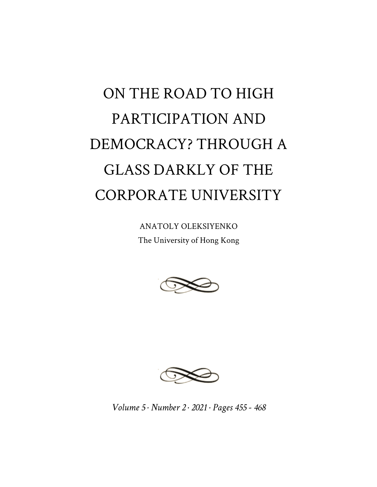## ON THE ROAD TO HIGH PARTICIPATION AND DEMOCRACY? THROUGH A GLASS DARKLY OF THE CORPORATE UNIVERSITY

ANATOLY OLEKSIYENKO The University of Hong Kong





*Volume 5 · Number 2 · 2021 · Pages 455 - 468*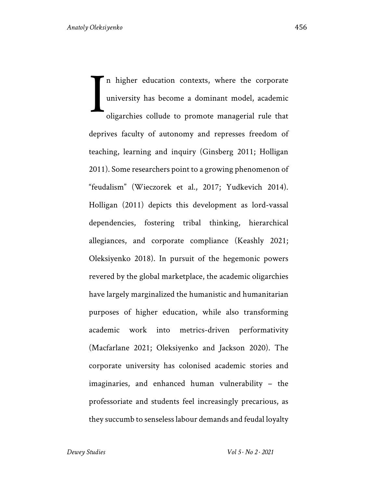In higher education contexts, where the corporate university has become a dominant model, academic oligarchies collude to promote managerial rule that deprives faculty of autonomy and represses freedom of teaching, learning and inquiry (Ginsberg 2011; Holligan 2011). Some researchers point to a growing phenomenon of "feudalism" (Wieczorek et al., 2017; Yudkevich 2014). Holligan (2011) depicts this development as lord-vassal dependencies, fostering tribal thinking, hierarchical allegiances, and corporate compliance (Keashly 2021; Oleksiyenko 2018). In pursuit of the hegemonic powers revered by the global marketplace, the academic oligarchies have largely marginalized the humanistic and humanitarian purposes of higher education, while also transforming academic work into metrics-driven performativity (Macfarlane 2021; Oleksiyenko and Jackson 2020). The corporate university has colonised academic stories and imaginaries, and enhanced human vulnerability – the professoriate and students feel increasingly precarious, as they succumb to senseless labour demands and feudal loyalty I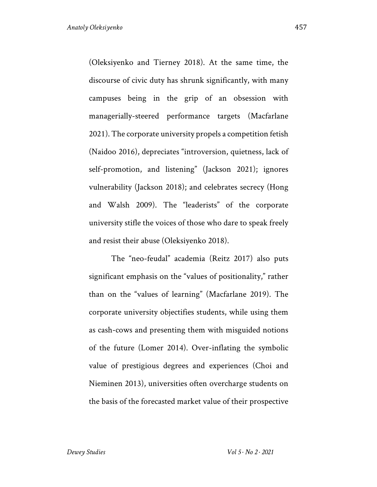(Oleksiyenko and Tierney 2018). At the same time, the discourse of civic duty has shrunk significantly, with many campuses being in the grip of an obsession with managerially-steered performance targets (Macfarlane 2021). The corporate university propels a competition fetish (Naidoo 2016), depreciates "introversion, quietness, lack of self-promotion, and listening" (Jackson 2021); ignores vulnerability (Jackson 2018); and celebrates secrecy (Hong and Walsh 2009). The "leaderists" of the corporate university stifle the voices of those who dare to speak freely and resist their abuse (Oleksiyenko 2018).

The "neo-feudal" academia (Reitz 2017) also puts significant emphasis on the "values of positionality," rather than on the "values of learning" (Macfarlane 2019). The corporate university objectifies students, while using them as cash-cows and presenting them with misguided notions of the future (Lomer 2014). Over-inflating the symbolic value of prestigious degrees and experiences (Choi and Nieminen 2013), universities often overcharge students on the basis of the forecasted market value of their prospective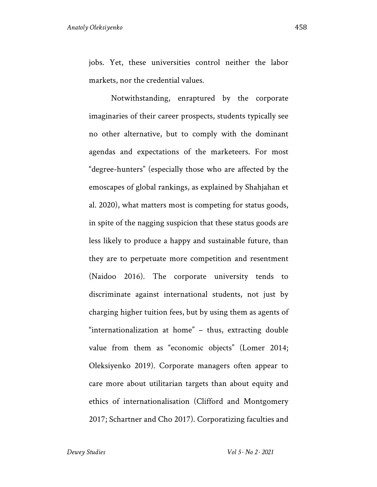jobs. Yet, these universities control neither the labor markets, nor the credential values.

Notwithstanding, enraptured by the corporate imaginaries of their career prospects, students typically see no other alternative, but to comply with the dominant agendas and expectations of the marketeers. For most "degree-hunters" (especially those who are affected by the emoscapes of global rankings, as explained by Shahjahan et al. 2020), what matters most is competing for status goods, in spite of the nagging suspicion that these status goods are less likely to produce a happy and sustainable future, than they are to perpetuate more competition and resentment (Naidoo 2016). The corporate university tends to discriminate against international students, not just by charging higher tuition fees, but by using them as agents of "internationalization at home" – thus, extracting double value from them as "economic objects" (Lomer 2014; Oleksiyenko 2019). Corporate managers often appear to care more about utilitarian targets than about equity and ethics of internationalisation (Clifford and Montgomery 2017; Schartner and Cho 2017). Corporatizing faculties and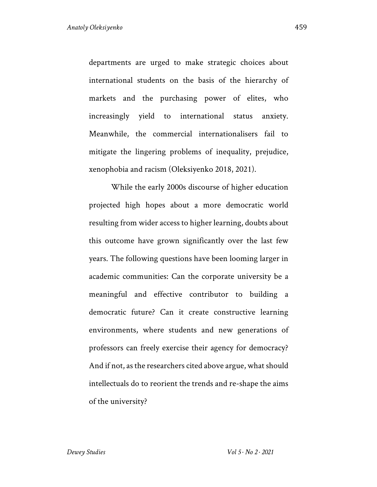departments are urged to make strategic choices about international students on the basis of the hierarchy of markets and the purchasing power of elites, who increasingly yield to international status anxiety. Meanwhile, the commercial internationalisers fail to mitigate the lingering problems of inequality, prejudice, xenophobia and racism (Oleksiyenko 2018, 2021).

While the early 2000s discourse of higher education projected high hopes about a more democratic world resulting from wider access to higher learning, doubts about this outcome have grown significantly over the last few years. The following questions have been looming larger in academic communities: Can the corporate university be a meaningful and effective contributor to building a democratic future? Can it create constructive learning environments, where students and new generations of professors can freely exercise their agency for democracy? And if not, as the researchers cited above argue, what should intellectuals do to reorient the trends and re-shape the aims of the university?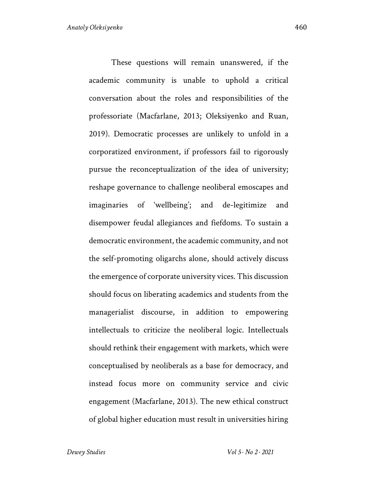These questions will remain unanswered, if the academic community is unable to uphold a critical conversation about the roles and responsibilities of the professoriate (Macfarlane, 2013; Oleksiyenko and Ruan, 2019). Democratic processes are unlikely to unfold in a corporatized environment, if professors fail to rigorously pursue the reconceptualization of the idea of university; reshape governance to challenge neoliberal emoscapes and imaginaries of 'wellbeing'; and de-legitimize and disempower feudal allegiances and fiefdoms. To sustain a democratic environment, the academic community, and not the self-promoting oligarchs alone, should actively discuss the emergence of corporate university vices. This discussion should focus on liberating academics and students from the managerialist discourse, in addition to empowering intellectuals to criticize the neoliberal logic. Intellectuals should rethink their engagement with markets, which were conceptualised by neoliberals as a base for democracy, and instead focus more on community service and civic engagement (Macfarlane, 2013). The new ethical construct of global higher education must result in universities hiring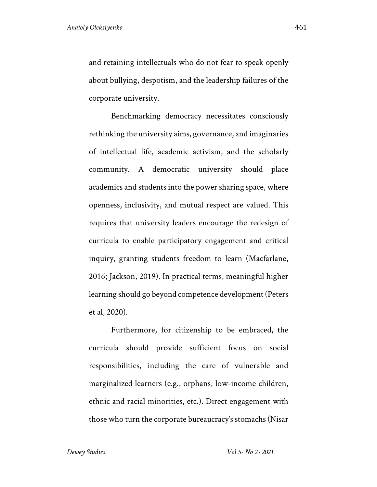and retaining intellectuals who do not fear to speak openly about bullying, despotism, and the leadership failures of the corporate university.

Benchmarking democracy necessitates consciously rethinking the university aims, governance, and imaginaries of intellectual life, academic activism, and the scholarly community. A democratic university should place academics and students into the power sharing space, where openness, inclusivity, and mutual respect are valued. This requires that university leaders encourage the redesign of curricula to enable participatory engagement and critical inquiry, granting students freedom to learn (Macfarlane, 2016; Jackson, 2019). In practical terms, meaningful higher learning should go beyond competence development (Peters et al, 2020).

Furthermore, for citizenship to be embraced, the curricula should provide sufficient focus on social responsibilities, including the care of vulnerable and marginalized learners (e.g., orphans, low-income children, ethnic and racial minorities, etc.). Direct engagement with those who turn the corporate bureaucracy's stomachs (Nisar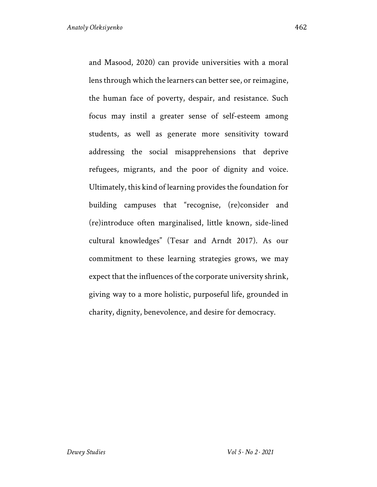and Masood, 2020) can provide universities with a moral lens through which the learners can better see, or reimagine, the human face of poverty, despair, and resistance. Such focus may instil a greater sense of self-esteem among students, as well as generate more sensitivity toward addressing the social misapprehensions that deprive refugees, migrants, and the poor of dignity and voice. Ultimately, this kind of learning provides the foundation for building campuses that "recognise, (re)consider and (re)introduce often marginalised, little known, side-lined cultural knowledges" (Tesar and Arndt 2017). As our commitment to these learning strategies grows, we may expect that the influences of the corporate university shrink, giving way to a more holistic, purposeful life, grounded in charity, dignity, benevolence, and desire for democracy.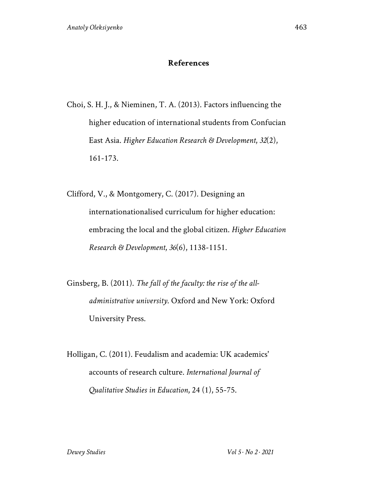## **References**

Choi, S. H. J., & Nieminen, T. A. (2013). Factors influencing the higher education of international students from Confucian East Asia. *Higher Education Research & Development*, *32*(2), 161-173.

Clifford, V., & Montgomery, C. (2017). Designing an internationationalised curriculum for higher education: embracing the local and the global citizen. *Higher Education Research & Development*, *36*(6), 1138-1151.

Ginsberg, B. (2011). *The fall of the faculty: the rise of the alladministrative university*. Oxford and New York: Oxford University Press.

Holligan, C. (2011). Feudalism and academia: UK academics' accounts of research culture. *International Journal of Qualitative Studies in Education*, 24 (1), 55-75.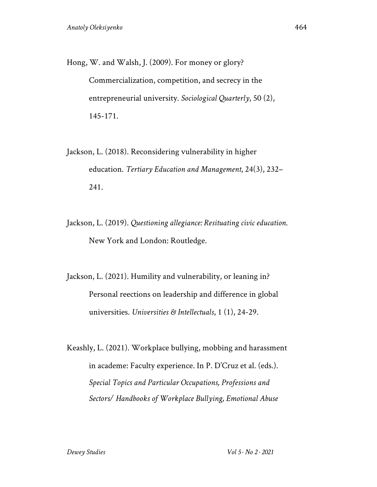- Hong, W. and Walsh, J. (2009). For money or glory? Commercialization, competition, and secrecy in the entrepreneurial university. *Sociological Quarterly*, 50 (2), 145-171.
- Jackson, L. (2018). Reconsidering vulnerability in higher education. *Tertiary Education and Management*, 24(3), 232– 241.
- Jackson, L. (2019). *Questioning allegiance: Resituating civic education*. New York and London: Routledge.
- Jackson, L. (2021). Humility and vulnerability, or leaning in? Personal reections on leadership and difference in global universities. *Universities & Intellectuals*, 1 (1), 24-29.
- Keashly, L. (2021). Workplace bullying, mobbing and harassment in academe: Faculty experience. In P. D'Cruz et al. (eds.). *Special Topics and Particular Occupations, Professions and Sectors/ Handbooks of Workplace Bullying, Emotional Abuse*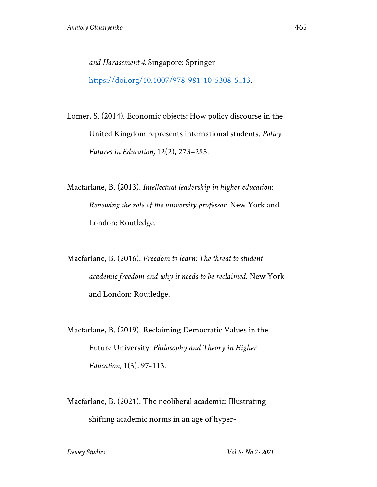*and Harassment 4.* Singapore: Springer

https://doi.org/10.1007/978-981-10-5308-5\_13.

Lomer, S. (2014). Economic objects: How policy discourse in the United Kingdom represents international students. *Policy Futures in Education,* 12(2), 273–285.

Macfarlane, B. (2013). *Intellectual leadership in higher education: Renewing the role of the university professor*. New York and London: Routledge.

Macfarlane, B. (2016). *Freedom to learn: The threat to student academic freedom and why it needs to be reclaimed*. New York and London: Routledge.

Macfarlane, B. (2019). Reclaiming Democratic Values in the Future University. *Philosophy and Theory in Higher Education,* 1(3), 97-113.

Macfarlane, B. (2021). The neoliberal academic: Illustrating shifting academic norms in an age of hyper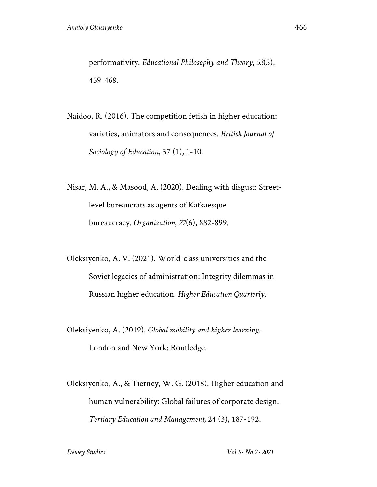performativity. *Educational Philosophy and Theory*, *53*(5), 459-468.

Naidoo, R. (2016). The competition fetish in higher education: varieties, animators and consequences. *British Journal of Sociology of Education*, 37 (1), 1-10.

- Nisar, M. A., & Masood, A. (2020). Dealing with disgust: Streetlevel bureaucrats as agents of Kafkaesque bureaucracy. *Organization*, *27*(6), 882-899.
- Oleksiyenko, A. V. (2021). World-class universities and the Soviet legacies of administration: Integrity dilemmas in Russian higher education. *Higher Education Quarterly*.
- Oleksiyenko, A. (2019). *Global mobility and higher learning.* London and New York: Routledge.
- Oleksiyenko, A., & Tierney, W. G. (2018). Higher education and human vulnerability: Global failures of corporate design. *Tertiary Education and Management,* 24 (3), 187-192.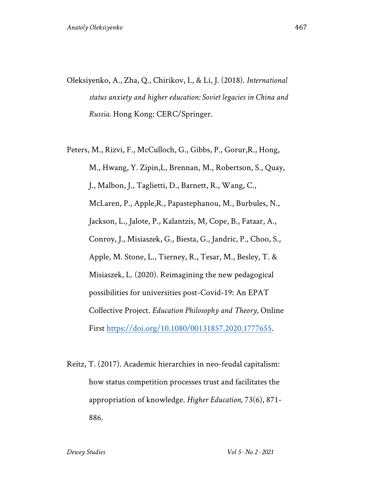- Oleksiyenko, A., Zha, Q., Chirikov, I., & Li, J. (2018). *International status anxiety and higher education: Soviet legacies in China and Russia*. Hong Kong: CERC/Springer.
- Peters, M., Rizvi, F., McCulloch, G., Gibbs, P., Gorur,R., Hong, M., Hwang, Y. Zipin,L, Brennan, M., Robertson, S., Quay, J., Malbon, J., Taglietti, D., Barnett, R., Wang, C., McLaren, P., Apple,R., Papastephanou, M., Burbules, N., Jackson, L., Jalote, P., Kalantzis, M, Cope, B., Fataar, A., Conroy, J., Misiaszek, G., Biesta, G., Jandric, P., Choo, S., Apple, M. Stone, L., Tierney, R., Tesar, M., Besley, T. & Misiaszek, L. (2020). Reimagining the new pedagogical possibilities for universities post-Covid-19: An EPAT Collective Project. *Education Philosophy and Theory,* Online First https://doi.org/10.1080/00131857.2020.1777655.
- Reitz, T. (2017). Academic hierarchies in neo-feudal capitalism: how status competition processes trust and facilitates the appropriation of knowledge. *Higher Education,* 73(6), 871- 886.